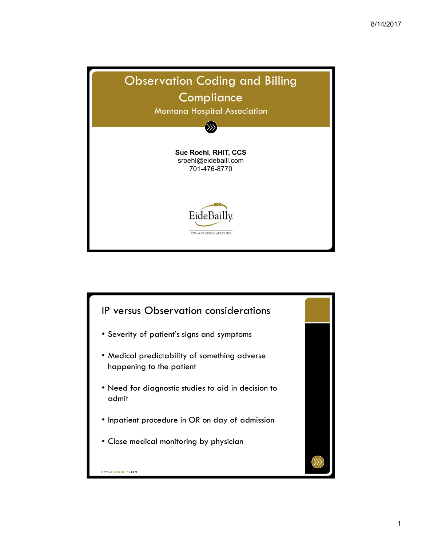

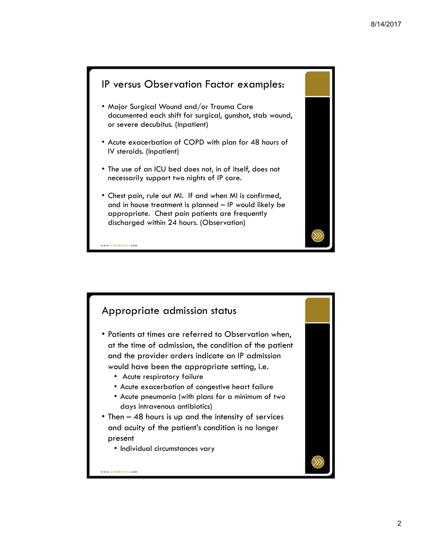# IP versus Observation Factor examples: • Major Surgical Wound and/or Trauma Care documented each shift for surgical, gunshot, stab wound, or severe decubitus. (Inpatient) • Acute exacerbation of COPD with plan for 48 hours of IV steroids. (Inpatient) • The use of an ICU bed does not, in of itself, does not necessarily support two nights of IP care. • Chest pain, rule out MI. If and when MI is confirmed, and in house treatment is planned – IP would likely be appropriate. Chest pain patients are frequently discharged within 24 hours. (Observation)

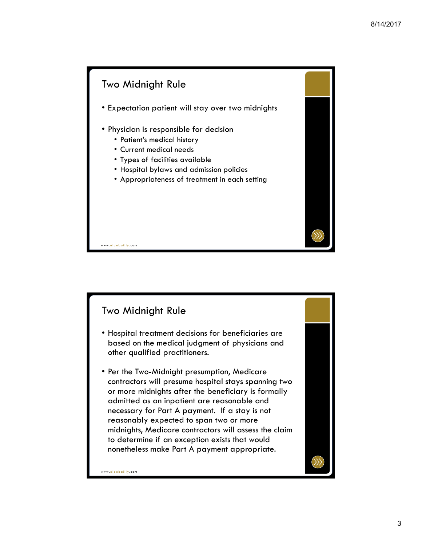



- Hospital treatment decisions for beneficiaries are based on the medical judgment of physicians and other qualified practitioners.
- Per the Two-Midnight presumption, Medicare contractors will presume hospital stays spanning two or more midnights after the beneficiary is formally admitted as an inpatient are reasonable and necessary for Part A payment. If a stay is not reasonably expected to span two or more midnights, Medicare contractors will assess the claim to determine if an exception exists that would nonetheless make Part A payment appropriate.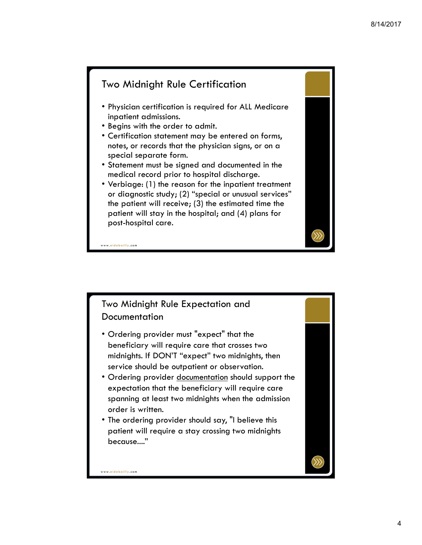#### Two Midnight Rule Certification

- Physician certification is required for ALL Medicare inpatient admissions.
- Begins with the order to admit.
- Certification statement may be entered on forms, notes, or records that the physician signs, or on a special separate form.
- Statement must be signed and documented in the medical record prior to hospital discharge.
- Verbiage: (1) the reason for the inpatient treatment or diagnostic study; (2) "special or unusual services" the patient will receive; (3) the estimated time the patient will stay in the hospital; and (4) plans for post-hospital care.

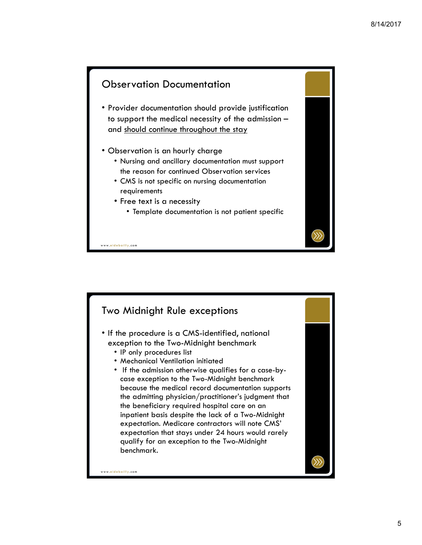#### Observation Documentation

- Provider documentation should provide justification to support the medical necessity of the admission – and should continue throughout the stay
- Observation is an hourly charge
	- Nursing and ancillary documentation must support the reason for continued Observation services
	- CMS is not specific on nursing documentation requirements
	- Free text is a necessity
		- Template documentation is not patient specific

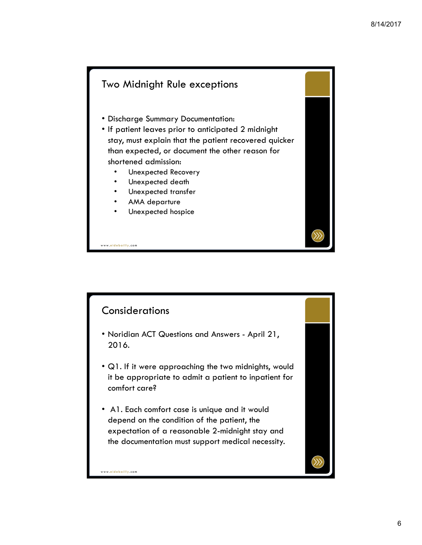# Two Midnight Rule exceptions • Discharge Summary Documentation: • If patient leaves prior to anticipated 2 midnight stay, must explain that the patient recovered quicker than expected, or document the other reason for shortened admission: • Unexpected Recovery Unexpected death • Unexpected transfer AMA departure Unexpected hospice

### **Considerations**

- Noridian ACT Questions and Answers April 21, 2016.
- Q1. If it were approaching the two midnights, would it be appropriate to admit a patient to inpatient for comfort care?
- A1. Each comfort case is unique and it would depend on the condition of the patient, the expectation of a reasonable 2-midnight stay and the documentation must support medical necessity.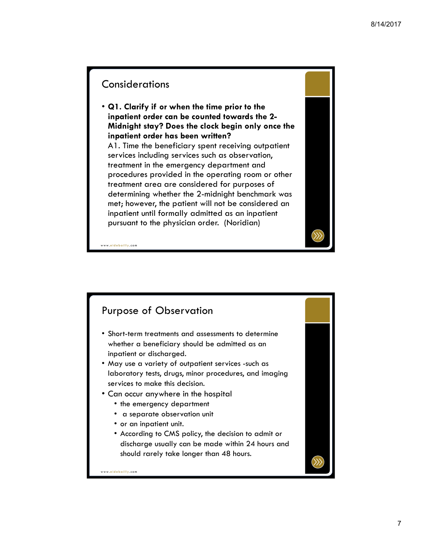### **Considerations**

• **Q1. Clarify if or when the time prior to the inpatient order can be counted towards the 2- Midnight stay? Does the clock begin only once the inpatient order has been written?** A1. Time the beneficiary spent receiving outpatient services including services such as observation, treatment in the emergency department and procedures provided in the operating room or other treatment area are considered for purposes of determining whether the 2-midnight benchmark was met; however, the patient will not be considered an inpatient until formally admitted as an inpatient pursuant to the physician order. (Noridian)

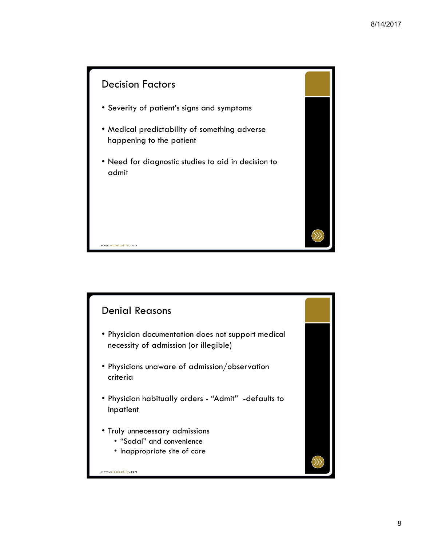

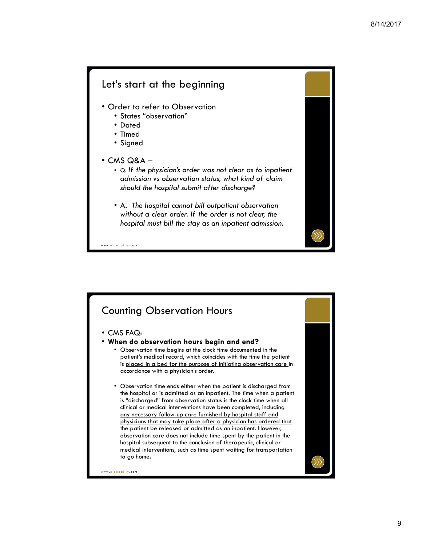#### Let's start at the beginning

- Order to refer to Observation
	- States "observation"
	- Dated
	- Timed
	- Signed
- $\cdot$  CMS Q&A
	- Q. *If the physician's order was not clear as to inpatient admission vs observation status, what kind of claim should the hospital submit after discharge?*
	- A. *The hospital cannot bill outpatient observation without a clear order. If the order is not clear, the hospital must bill the stay as an inpatient admission.*

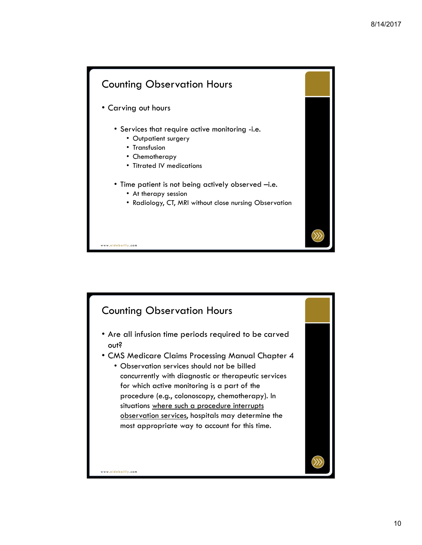

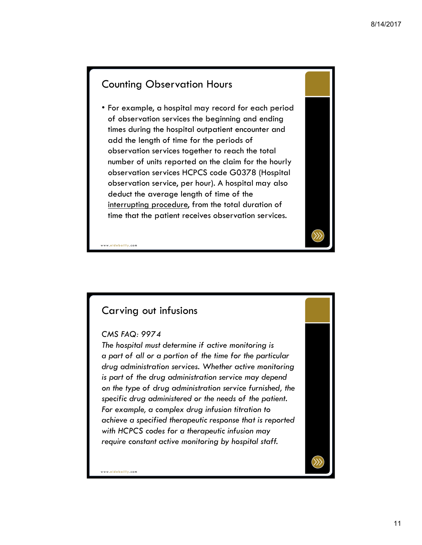#### Counting Observation Hours

• For example, a hospital may record for each period of observation services the beginning and ending times during the hospital outpatient encounter and add the length of time for the periods of observation services together to reach the total number of units reported on the claim for the hourly observation services HCPCS code G0378 (Hospital observation service, per hour). A hospital may also deduct the average length of time of the interrupting procedure, from the total duration of time that the patient receives observation services.



www. eidebailly .com

## Carving out infusions

#### *CMS FAQ: 9974*

*The hospital must determine if active monitoring is a part of all or a portion of the time for the particular drug administration services. Whether active monitoring is part of the drug administration service may depend on the type of drug administration service furnished, the specific drug administered or the needs of the patient. For example, a complex drug infusion titration to achieve a specified therapeutic response that is reported with HCPCS codes for a therapeutic infusion may require constant active monitoring by hospital staff.*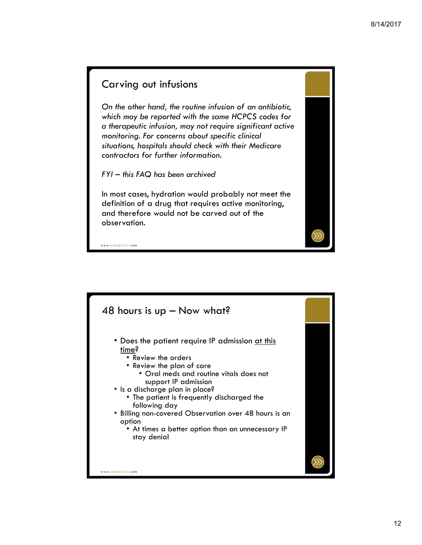#### Carving out infusions

*On the other hand, the routine infusion of an antibiotic, which may be reported with the same HCPCS codes for a therapeutic infusion, may not require significant active monitoring. For concerns about specific clinical situations, hospitals should check with their Medicare contractors for further information.*

*FYI – this FAQ has been archived*

In most cases, hydration would probably not meet the definition of a drug that requires active monitoring, and therefore would not be carved out of the observation.

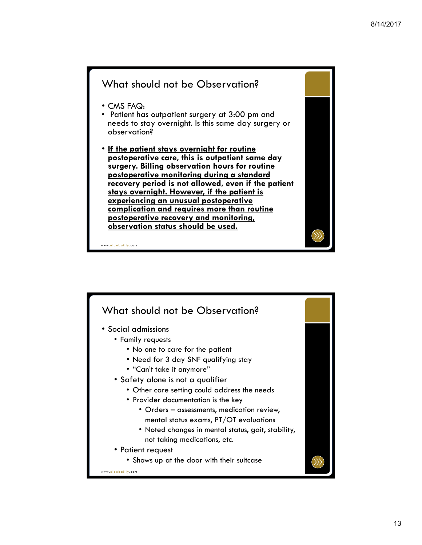

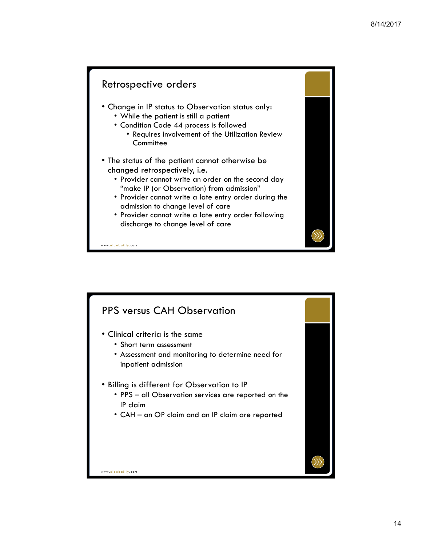# Retrospective orders • Change in IP status to Observation status only: • While the patient is still a patient • Condition Code 44 process is followed • Requires involvement of the Utilization Review **Committee** • The status of the patient cannot otherwise be changed retrospectively, i.e. • Provider cannot write an order on the second day "make IP (or Observation) from admission" • Provider cannot write a late entry order during the admission to change level of care • Provider cannot write a late entry order following discharge to change level of care

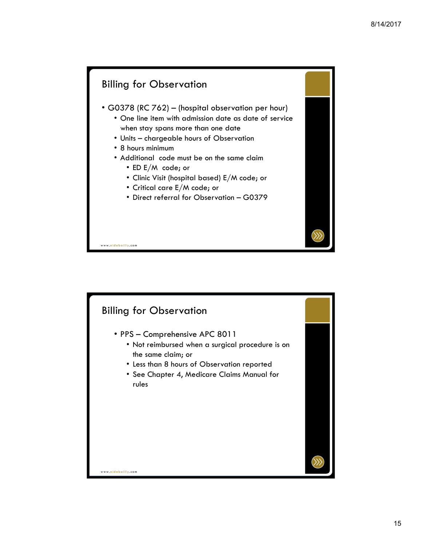

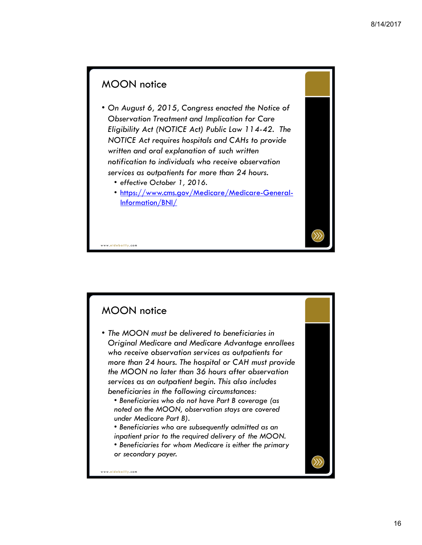# MOON notice

- *On August 6, 2015, Congress enacted the Notice of Observation Treatment and Implication for Care Eligibility Act (NOTICE Act) Public Law 114-42. The NOTICE Act requires hospitals and CAHs to provide written and oral explanation of such written notification to individuals who receive observation services as outpatients for more than 24 hours.* 
	- *effective October 1, 2016.*
	- https://www.cms.gov/Medicare/Medicare-General-Information/BNI/

## MOON notice

www. eidebailly .com

• *The MOON must be delivered to beneficiaries in Original Medicare and Medicare Advantage enrollees who receive observation services as outpatients for more than 24 hours. The hospital or CAH must provide the MOON no later than 36 hours after observation services as an outpatient begin. This also includes beneficiaries in the following circumstances:* 

• *Beneficiaries who do not have Part B coverage (as noted on the MOON, observation stays are covered under Medicare Part B).* 

• *Beneficiaries who are subsequently admitted as an inpatient prior to the required delivery of the MOON.* 

• *Beneficiaries for whom Medicare is either the primary or secondary payer.*